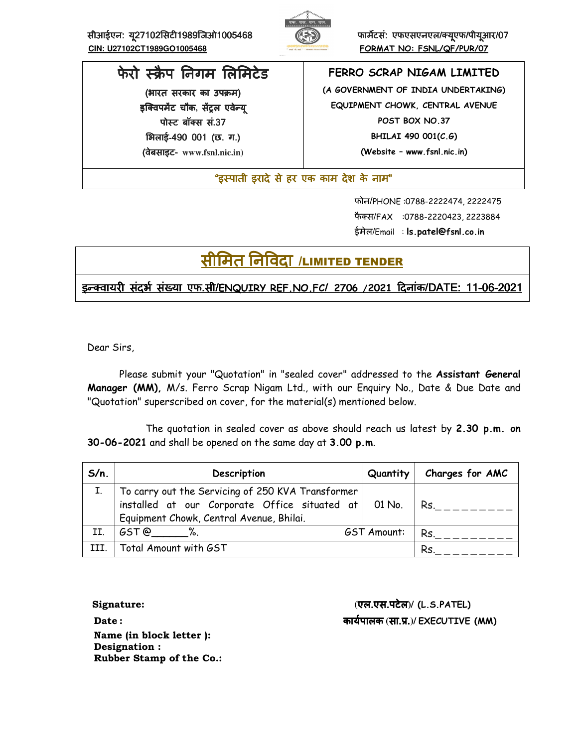सीआईएन: सीआईएन: य27102सट ू27102सट1989िजओ1005468फामटसं: एफएसएनएल एफएसएनएलएफएसएनएल/!यएफ/ ूपीयआर/ ू07  **CIN: U27102CT1989GO1005468 FORMAT NO: FSNL/QF/PUR/07**



# फेरो स्क्रैप निगम लिमिटेड

(भारत सरकार का उपक्रम) इक्विपमेंट चौक, सेंट्रल एवेन्य<u>ु</u> पोस्ट बॉक्स सं.37 भिलाई-490 001 (छ. ग.) (वेबसाइट वेबसाइट- **www.fsnl.nic.in)** 

**FERRO SCRAP NIGAM LIMITED (A GOVERNMENT OF INDIA UNDERTAKING) EQUIPMENT CHOWK, CENTRAL AVENUE POST BOX NO.37 BHILAI 490 001(C.G)** 

**(Website – www.fsnl.nic.in)** 

"इस्पाती इरादे से हर एक काम देश के नाम"

 फोन/PHONE :0788-2222474, 2222475 फैक्स/FAX :0788-2220423, 2223884 ईमेल/Email : **ls.patel@fsnl.co.in**

# सीमित निविदा /LIMITED TENDER

इ8!वायर संदभE संFया एफ संदभE संFया एफसंFया एफ.सी/**ENQUIRY REF.NO.FC**/ **2706 /2021**Gदनांक/DATE: 11-06-2021

Dear Sirs,

Please submit your "Quotation" in "sealed cover" addressed to the **Assistant General Manager (MM),** M/s. Ferro Scrap Nigam Ltd., with our Enquiry No., Date & Due Date and "Quotation" superscribed on cover, for the material(s) mentioned below.

 The quotation in sealed cover as above should reach us latest by **2.30 p.m. on 30-06-2021** and shall be opened on the same day at **3.00 p.m**.

| $S/n$ . | Description                                                                                                                                           | Quantity           | Charges for AMC |
|---------|-------------------------------------------------------------------------------------------------------------------------------------------------------|--------------------|-----------------|
|         | To carry out the Servicing of 250 KVA Transformer<br>installed at our Corporate Office situated at 01 No.<br>Equipment Chowk, Central Avenue, Bhilai. |                    | Rs.             |
| II.     | $GST@$ %.                                                                                                                                             | <b>GST Amount:</b> | Rs.             |
| III.    | Total Amount with GST                                                                                                                                 |                    | Rs.             |

 **Name (in block letter ): Designation : Rubber Stamp of the Co.:** 

 **Signature: (**एल.एस.पटेल**)/ (L.S.PATEL) Date :** कायEपालक **(**सा.L.**)/ EXECUTIVE (MM)**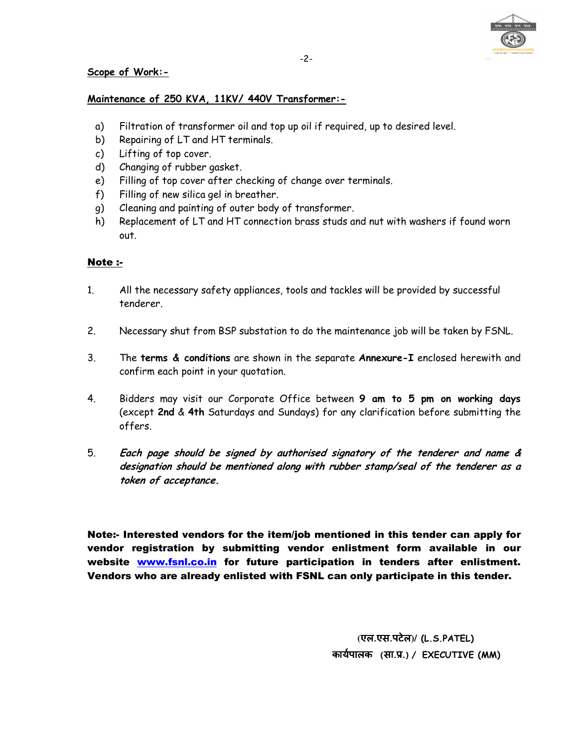

# **Scope of Work:-**

## **Maintenance of 250 KVA, 11KV/ 440V Transformer:-**

- a) Filtration of transformer oil and top up oil if required, up to desired level.
- b) Repairing of LT and HT terminals.
- c) Lifting of top cover.
- d) Changing of rubber gasket.
- e) Filling of top cover after checking of change over terminals.
- f) Filling of new silica gel in breather.
- g) Cleaning and painting of outer body of transformer.
- h) Replacement of LT and HT connection brass studs and nut with washers if found worn out.

# Note :-

- 1. All the necessary safety appliances, tools and tackles will be provided by successful tenderer.
- 2. Necessary shut from BSP substation to do the maintenance job will be taken by FSNL.
- 3. The **terms & conditions** are shown in the separate **Annexure-I** enclosed herewith and confirm each point in your quotation.
- 4. Bidders may visit our Corporate Office between **9 am to 5 pm on working days** (except **2nd** & **4th** Saturdays and Sundays) for any clarification before submitting the offers.
- 5. **Each page should be signed by authorised signatory of the tenderer and name & designation should be mentioned along with rubber stamp/seal of the tenderer as a token of acceptance.**

Note:- Interested vendors for the item/job mentioned in this tender can apply for vendor registration by submitting vendor enlistment form available in our website www.fsnl.co.in for future participation in tenders after enlistment. Vendors who are already enlisted with FSNL can only participate in this tender.

> **(**एल.एस.पटेल**)/ (L.S.PATEL)** कायEपालक **(**सा.L.**)/ EXECUTIVE (MM)**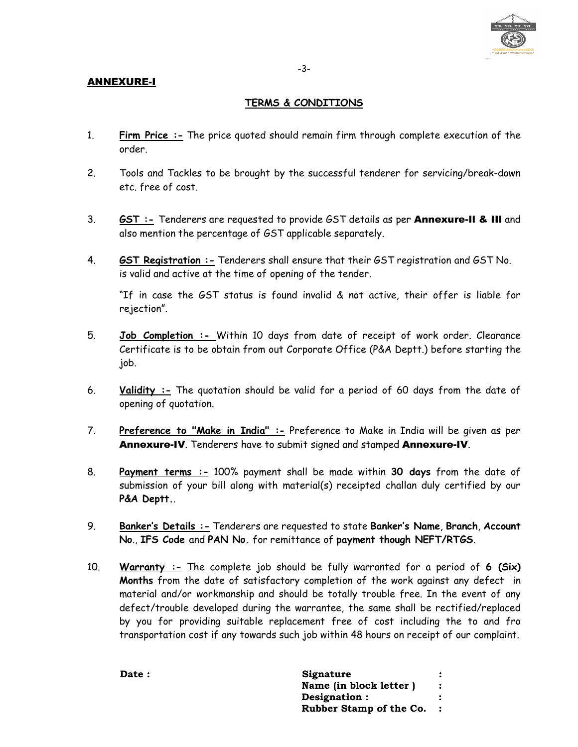

# ANNEXURE-I

# **TERMS & CONDITIONS**

- 1. **Firm Price :-** The price quoted should remain firm through complete execution of the order.
- 2. Tools and Tackles to be brought by the successful tenderer for servicing/break-down etc. free of cost.
- 3. **GST :-** Tenderers are requested to provide GST details as per Annexure-Il & IIl and also mention the percentage of GST applicable separately.
- 4. **GST Registration :-** Tenderers shall ensure that their GST registration and GST No. is valid and active at the time of opening of the tender.

"If in case the GST status is found invalid & not active, their offer is liable for rejection".

- 5. **Job Completion :-** Within 10 days from date of receipt of work order. Clearance Certificate is to be obtain from out Corporate Office (P&A Deptt.) before starting the job.
- 6. **Validity :-** The quotation should be valid for a period of 60 days from the date of opening of quotation.
- 7. **Preference to "Make in India" :-** Preference to Make in India will be given as per Annexure-IV. Tenderers have to submit signed and stamped Annexure-IV.
- 8. **Payment terms :-** 100% payment shall be made within **30 days** from the date of submission of your bill along with material(s) receipted challan duly certified by our **P&A Deptt.**.
- 9. **Banker's Details :-** Tenderers are requested to state **Banker's Name**, **Branch**, **Account No**., **IFS Code** and **PAN No.** for remittance of **payment though NEFT/RTGS**.
- 10. **Warranty :-** The complete job should be fully warranted for a period of **6 (Six) Months** from the date of satisfactory completion of the work against any defect in material and/or workmanship and should be totally trouble free. In the event of any defect/trouble developed during the warrantee, the same shall be rectified/replaced by you for providing suitable replacement free of cost including the to and fro transportation cost if any towards such job within 48 hours on receipt of our complaint.

| Date : | Signature               |  |
|--------|-------------------------|--|
|        | Name (in block letter)  |  |
|        | Designation :           |  |
|        | Rubber Stamp of the Co. |  |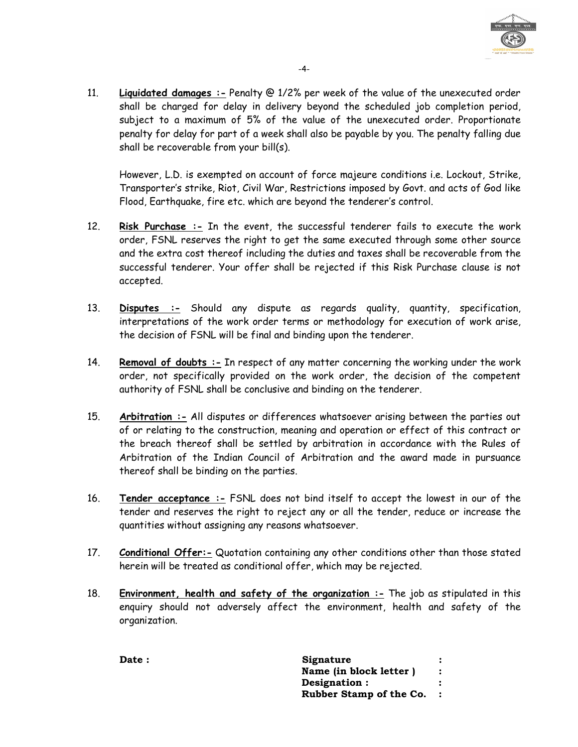

11. **Liquidated damages :-** Penalty @ 1/2% per week of the value of the unexecuted order shall be charged for delay in delivery beyond the scheduled job completion period, subject to a maximum of 5% of the value of the unexecuted order. Proportionate penalty for delay for part of a week shall also be payable by you. The penalty falling due shall be recoverable from your bill(s).

However, L.D. is exempted on account of force majeure conditions i.e. Lockout, Strike, Transporter's strike, Riot, Civil War, Restrictions imposed by Govt. and acts of God like Flood, Earthquake, fire etc. which are beyond the tenderer's control.

- 12. **Risk Purchase :-** In the event, the successful tenderer fails to execute the work order, FSNL reserves the right to get the same executed through some other source and the extra cost thereof including the duties and taxes shall be recoverable from the successful tenderer. Your offer shall be rejected if this Risk Purchase clause is not accepted.
- 13. **Disputes :-** Should any dispute as regards quality, quantity, specification, interpretations of the work order terms or methodology for execution of work arise, the decision of FSNL will be final and binding upon the tenderer.
- 14. **Removal of doubts :-** In respect of any matter concerning the working under the work order, not specifically provided on the work order, the decision of the competent authority of FSNL shall be conclusive and binding on the tenderer.
- 15. **Arbitration :-** All disputes or differences whatsoever arising between the parties out of or relating to the construction, meaning and operation or effect of this contract or the breach thereof shall be settled by arbitration in accordance with the Rules of Arbitration of the Indian Council of Arbitration and the award made in pursuance thereof shall be binding on the parties.
- 16. **Tender acceptance :-** FSNL does not bind itself to accept the lowest in our of the tender and reserves the right to reject any or all the tender, reduce or increase the quantities without assigning any reasons whatsoever.
- 17. **Conditional Offer:-** Quotation containing any other conditions other than those stated herein will be treated as conditional offer, which may be rejected.
- 18. **Environment, health and safety of the organization :-** The job as stipulated in this enquiry should not adversely affect the environment, health and safety of the organization.

Date : Signature : **Signature Name (in block letter ) : Designation : : Rubber Stamp of the Co. :**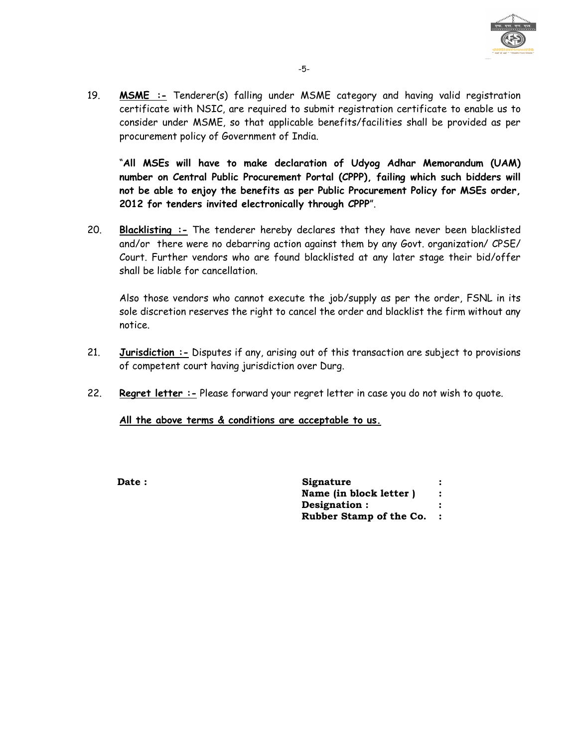

19. **MSME :-** Tenderer(s) falling under MSME category and having valid registration certificate with NSIC, are required to submit registration certificate to enable us to consider under MSME, so that applicable benefits/facilities shall be provided as per procurement policy of Government of India.

"**All MSEs will have to make declaration of Udyog Adhar Memorandum (UAM) number on Central Public Procurement Portal (CPPP), failing which such bidders will not be able to enjoy the benefits as per Public Procurement Policy for MSEs order, 2012 for tenders invited electronically through CPPP**".

20. **Blacklisting :-** The tenderer hereby declares that they have never been blacklisted and/or there were no debarring action against them by any Govt. organization/ CPSE/ Court. Further vendors who are found blacklisted at any later stage their bid/offer shall be liable for cancellation.

Also those vendors who cannot execute the job/supply as per the order, FSNL in its sole discretion reserves the right to cancel the order and blacklist the firm without any notice.

- 21. **Jurisdiction :-** Disputes if any, arising out of this transaction are subject to provisions of competent court having jurisdiction over Durg.
- 22. **Regret letter :-** Please forward your regret letter in case you do not wish to quote.

**All the above terms & conditions are acceptable to us.**

**Date :** Signature  **Name (in block letter ) : Designation : : Rubber Stamp of the Co. :**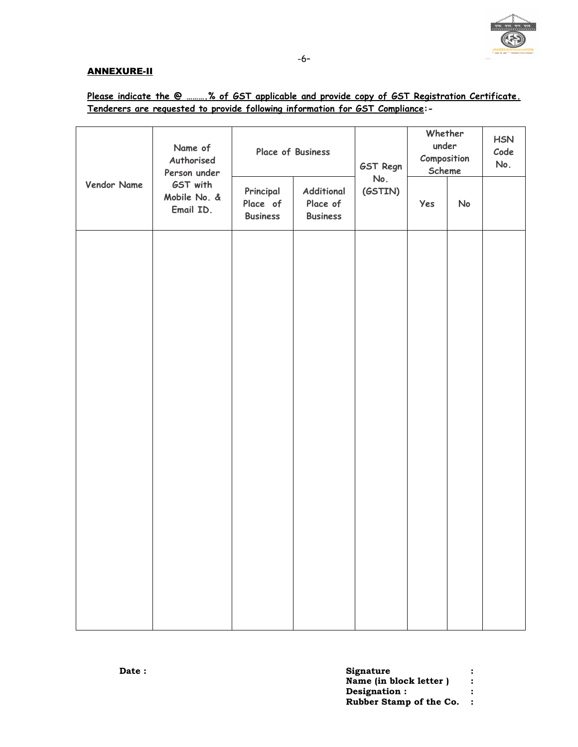

## ANNEXURE-II

# **Please indicate the @ ……….% of GST applicable and provide copy of GST Registration Certificate. Tenderers are requested to provide following information for GST Compliance:-**

|             | Name of<br>Authorised<br>Person under | Place of Business                        |                                           | <b>GST Regn</b> | Whether<br>under<br>Composition<br>Scheme |    | <b>HSN</b><br>Code<br>No. |
|-------------|---------------------------------------|------------------------------------------|-------------------------------------------|-----------------|-------------------------------------------|----|---------------------------|
| Vendor Name | GST with<br>Mobile No. &<br>Email ID. | Principal<br>Place of<br><b>Business</b> | Additional<br>Place of<br><b>Business</b> | No.<br>(GSTIN)  | Yes                                       | No |                           |
|             |                                       |                                          |                                           |                 |                                           |    |                           |
|             |                                       |                                          |                                           |                 |                                           |    |                           |
|             |                                       |                                          |                                           |                 |                                           |    |                           |
|             |                                       |                                          |                                           |                 |                                           |    |                           |
|             |                                       |                                          |                                           |                 |                                           |    |                           |
|             |                                       |                                          |                                           |                 |                                           |    |                           |
|             |                                       |                                          |                                           |                 |                                           |    |                           |
|             |                                       |                                          |                                           |                 |                                           |    |                           |

| <b>Date :</b> | <b>Signature</b>        |  |
|---------------|-------------------------|--|
|               | Name (in block letter)  |  |
|               | Designation :           |  |
|               | Rubber Stamp of the Co. |  |
|               |                         |  |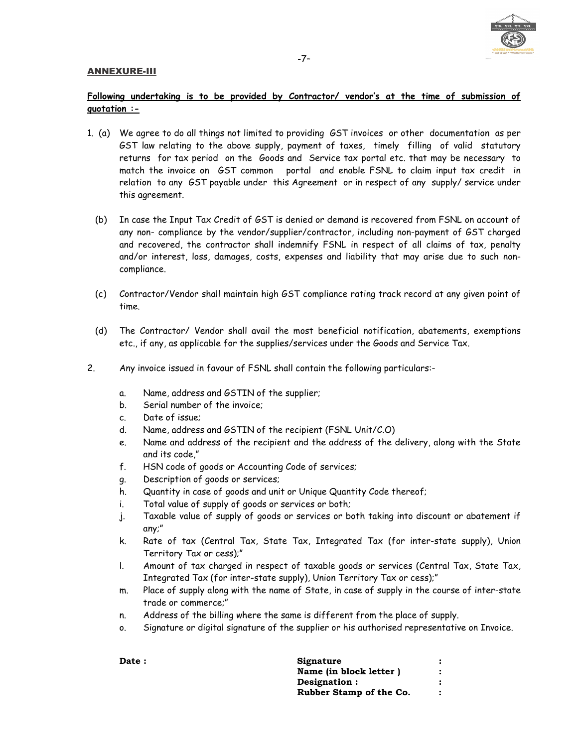### ANNEXURE-III



# **Following undertaking is to be provided by Contractor/ vendor's at the time of submission of quotation :-**

- 1. (a) We agree to do all things not limited to providing GST invoices or other documentation as per GST law relating to the above supply, payment of taxes, timely filling of valid statutory returns for tax period on the Goods and Service tax portal etc. that may be necessary to match the invoice on GST common portal and enable FSNL to claim input tax credit in relation to any GST payable under this Agreement or in respect of any supply/ service under this agreement.
	- (b) In case the Input Tax Credit of GST is denied or demand is recovered from FSNL on account of any non- compliance by the vendor/supplier/contractor, including non-payment of GST charged and recovered, the contractor shall indemnify FSNL in respect of all claims of tax, penalty and/or interest, loss, damages, costs, expenses and liability that may arise due to such noncompliance.
	- (c) Contractor/Vendor shall maintain high GST compliance rating track record at any given point of time.
	- (d) The Contractor/ Vendor shall avail the most beneficial notification, abatements, exemptions etc., if any, as applicable for the supplies/services under the Goods and Service Tax.
- 2. Any invoice issued in favour of FSNL shall contain the following particulars:
	- a. Name, address and GSTIN of the supplier;
	- b. Serial number of the invoice;
	- c. Date of issue;
	- d. Name, address and GSTIN of the recipient (FSNL Unit/C.O)
	- e. Name and address of the recipient and the address of the delivery, along with the State and its code,"
	- f. HSN code of goods or Accounting Code of services;
	- g. Description of goods or services;
	- h. Quantity in case of goods and unit or Unique Quantity Code thereof;
	- i. Total value of supply of goods or services or both;
	- j. Taxable value of supply of goods or services or both taking into discount or abatement if any;"
	- k. Rate of tax (Central Tax, State Tax, Integrated Tax (for inter-state supply), Union Territory Tax or cess);"
	- l. Amount of tax charged in respect of taxable goods or services (Central Tax, State Tax, Integrated Tax (for inter-state supply), Union Territory Tax or cess);"
	- m. Place of supply along with the name of State, in case of supply in the course of inter-state trade or commerce;"
	- n. Address of the billing where the same is different from the place of supply.
	- o. Signature or digital signature of the supplier or his authorised representative on Invoice.

| <b>Date :</b> | Signature               |  |
|---------------|-------------------------|--|
|               | Name (in block letter)  |  |
|               | Designation:            |  |
|               | Rubber Stamp of the Co. |  |
|               |                         |  |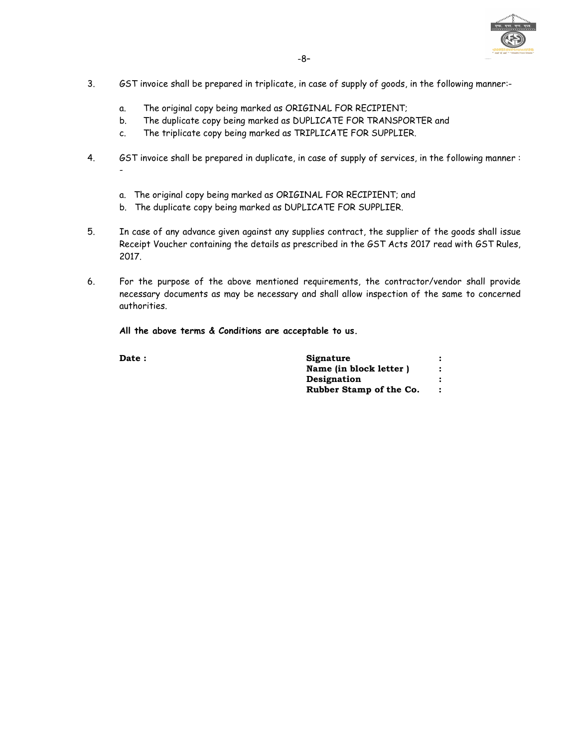

- 3. GST invoice shall be prepared in triplicate, in case of supply of goods, in the following manner:
	- a. The original copy being marked as ORIGINAL FOR RECIPIENT;
	- b. The duplicate copy being marked as DUPLICATE FOR TRANSPORTER and
	- c. The triplicate copy being marked as TRIPLICATE FOR SUPPLIER.
- 4. GST invoice shall be prepared in duplicate, in case of supply of services, in the following manner :
	- a. The original copy being marked as ORIGINAL FOR RECIPIENT; and
	- b. The duplicate copy being marked as DUPLICATE FOR SUPPLIER.
- 5. In case of any advance given against any supplies contract, the supplier of the goods shall issue Receipt Voucher containing the details as prescribed in the GST Acts 2017 read with GST Rules, 2017.
- 6. For the purpose of the above mentioned requirements, the contractor/vendor shall provide necessary documents as may be necessary and shall allow inspection of the same to concerned authorities.

**All the above terms & Conditions are acceptable to us.** 

| <b>Date :</b> | Signature               |  |
|---------------|-------------------------|--|
|               | Name (in block letter)  |  |
|               | Designation             |  |
|               | Rubber Stamp of the Co. |  |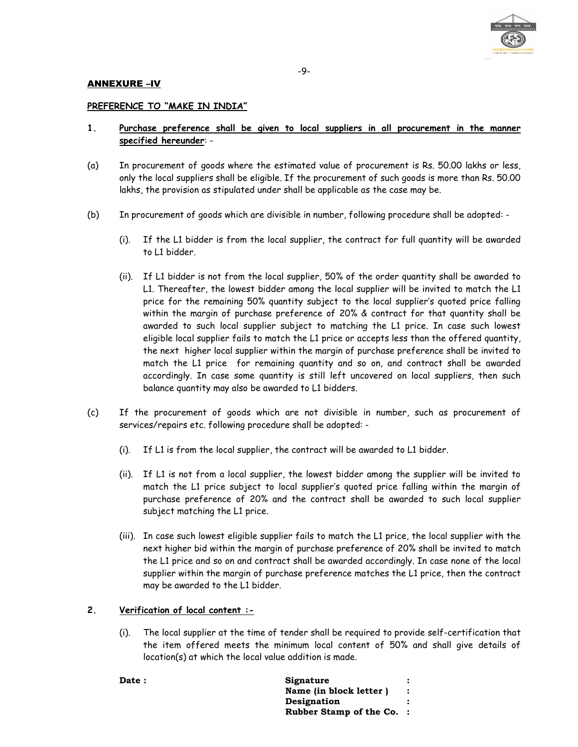

## ANNEXURE –IV

## **PREFERENCE TO "MAKE IN INDIA"**

- **1. Purchase preference shall be given to local suppliers in all procurement in the manner specified hereunder**: -
- (a) In procurement of goods where the estimated value of procurement is Rs. 50.00 lakhs or less, only the local suppliers shall be eligible. If the procurement of such goods is more than Rs. 50.00 lakhs, the provision as stipulated under shall be applicable as the case may be.
- (b) In procurement of goods which are divisible in number, following procedure shall be adopted:
	- (i). If the L1 bidder is from the local supplier, the contract for full quantity will be awarded to L1 bidder.
	- (ii). If L1 bidder is not from the local supplier, 50% of the order quantity shall be awarded to L1. Thereafter, the lowest bidder among the local supplier will be invited to match the L1 price for the remaining 50% quantity subject to the local supplier's quoted price falling within the margin of purchase preference of 20% & contract for that quantity shall be awarded to such local supplier subject to matching the L1 price. In case such lowest eligible local supplier fails to match the L1 price or accepts less than the offered quantity, the next higher local supplier within the margin of purchase preference shall be invited to match the L1 price for remaining quantity and so on, and contract shall be awarded accordingly. In case some quantity is still left uncovered on local suppliers, then such balance quantity may also be awarded to L1 bidders.
- (c) If the procurement of goods which are not divisible in number, such as procurement of services/repairs etc. following procedure shall be adopted: -
	- (i). If L1 is from the local supplier, the contract will be awarded to L1 bidder.
	- (ii). If L1 is not from a local supplier, the lowest bidder among the supplier will be invited to match the L1 price subject to local supplier's quoted price falling within the margin of purchase preference of 20% and the contract shall be awarded to such local supplier subject matching the L1 price.
	- (iii). In case such lowest eligible supplier fails to match the L1 price, the local supplier with the next higher bid within the margin of purchase preference of 20% shall be invited to match the L1 price and so on and contract shall be awarded accordingly. In case none of the local supplier within the margin of purchase preference matches the L1 price, then the contract may be awarded to the L1 bidder.

### **2. Verification of local content :-**

(i). The local supplier at the time of tender shall be required to provide self-certification that the item offered meets the minimum local content of 50% and shall give details of location(s) at which the local value addition is made.

Date : Signature :  **Name (in block letter ) : Designation : Rubber Stamp of the Co. :**